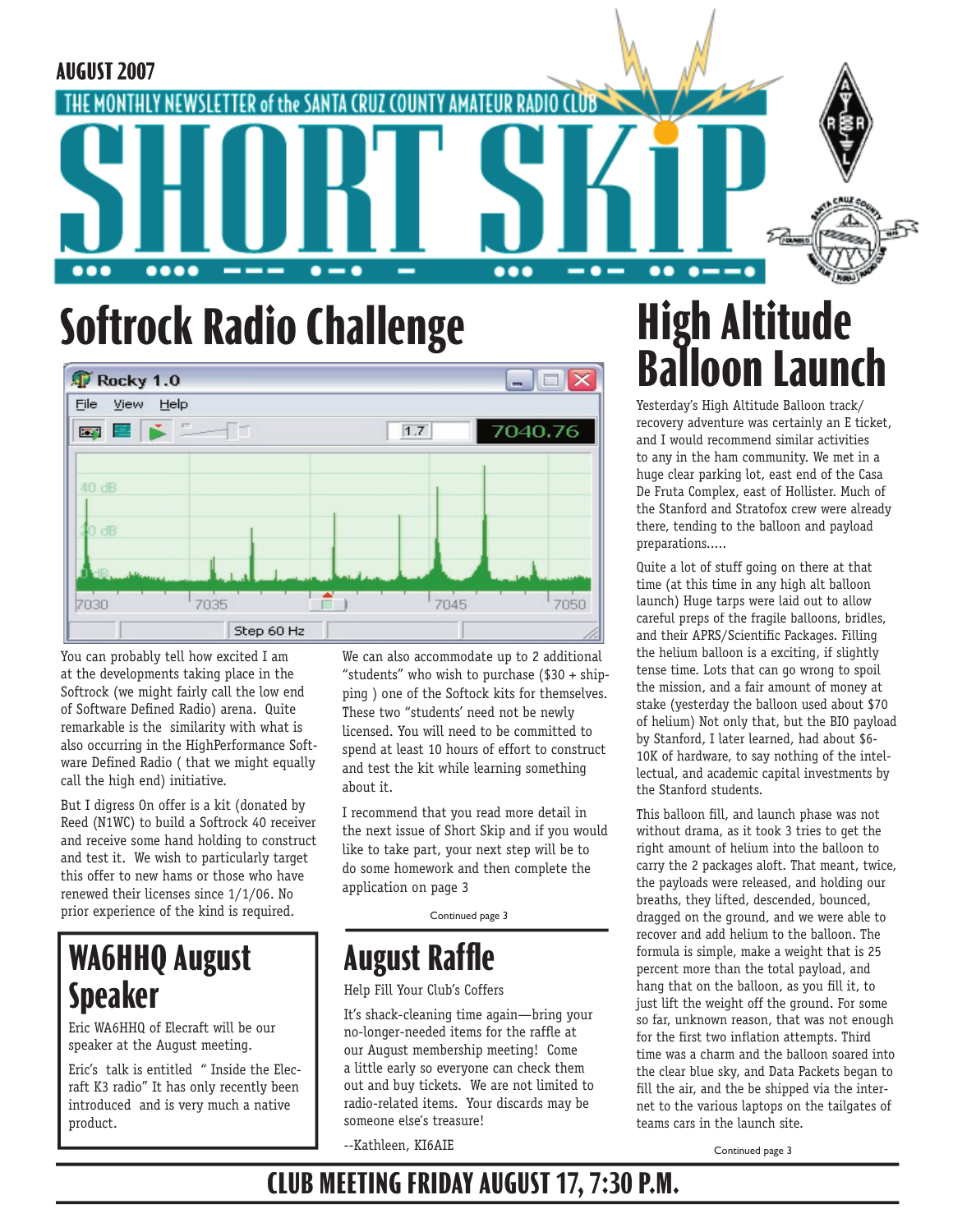

# **Softrock Radio Challenge**

| Rocky 1.0       |            |   |      | $\blacksquare$<br>ID |
|-----------------|------------|---|------|----------------------|
| Eile<br>View    | Help       |   |      |                      |
|                 | 国国家二<br>ſı |   | 1.7  | 7040.76              |
| 40dB            |            |   |      |                      |
| 20dB            |            |   |      |                      |
| <b>Ship</b> and |            |   |      |                      |
| 7030            | 7035       | г | 7045 | 7050                 |
|                 | Step 60 Hz |   |      |                      |

You can probably tell how excited I am at the developments taking place in the Softrock (we might fairly call the low end of Software Defined Radio) arena. Quite remarkable is the similarity with what is also occurring in the HighPerformance Software Defined Radio ( that we might equally call the high end) initiative.

But I digress On offer is a kit (donated by Reed (N1WC) to build a Softrock 40 receiver and receive some hand holding to construct and test it. We wish to particularly target this offer to new hams or those who have renewed their licenses since 1/1/06. No prior experience of the kind is required.

# **WA6HHQ August Speaker**

Eric WA6HHQ of Elecraft will be our speaker at the August meeting.

Eric's talk is entitled " Inside the Elecraft K3 radio" It has only recently been introduced and is very much a native product.

We can also accommodate up to 2 additional "students" who wish to purchase (\$30 + shipping ) one of the Softock kits for themselves. These two "students' need not be newly licensed. You will need to be committed to spend at least 10 hours of effort to construct and test the kit while learning something about it.

I recommend that you read more detail in the next issue of Short Skip and if you would like to take part, your next step will be to do some homework and then complete the application on page 3

Continued page 3

## **August Raffle**

#### Help Fill Your Club's Coffers

It's shack-cleaning time again—bring your no-longer-needed items for the raffle at our August membership meeting! Come a little early so everyone can check them out and buy tickets. We are not limited to radio-related items. Your discards may be someone else's treasure!

--Kathleen, KI6AIE

# **High Altitude Balloon Launch**

Yesterday's High Altitude Balloon track/ recovery adventure was certainly an E ticket, and I would recommend similar activities to any in the ham community. We met in a huge clear parking lot, east end of the Casa De Fruta Complex, east of Hollister. Much of the Stanford and Stratofox crew were already there, tending to the balloon and payload preparations.....

Quite a lot of stuff going on there at that time (at this time in any high alt balloon launch) Huge tarps were laid out to allow careful preps of the fragile balloons, bridles, and their APRS/Scientific Packages. Filling the helium balloon is a exciting, if slightly tense time. Lots that can go wrong to spoil the mission, and a fair amount of money at stake (yesterday the balloon used about \$70 of helium) Not only that, but the BIO payload by Stanford, I later learned, had about \$6- 10K of hardware, to say nothing of the intellectual, and academic capital investments by the Stanford students.

This balloon fill, and launch phase was not without drama, as it took 3 tries to get the right amount of helium into the balloon to carry the 2 packages aloft. That meant, twice, the payloads were released, and holding our breaths, they lifted, descended, bounced, dragged on the ground, and we were able to recover and add helium to the balloon. The formula is simple, make a weight that is 25 percent more than the total payload, and hang that on the balloon, as you fill it, to just lift the weight off the ground. For some so far, unknown reason, that was not enough for the first two inflation attempts. Third time was a charm and the balloon soared into the clear blue sky, and Data Packets began to fill the air, and the be shipped via the internet to the various laptops on the tailgates of teams cars in the launch site.

Continued page 3

## **CLUB MEETING FRIDAY AUGUST 17, 7:30 P.M.**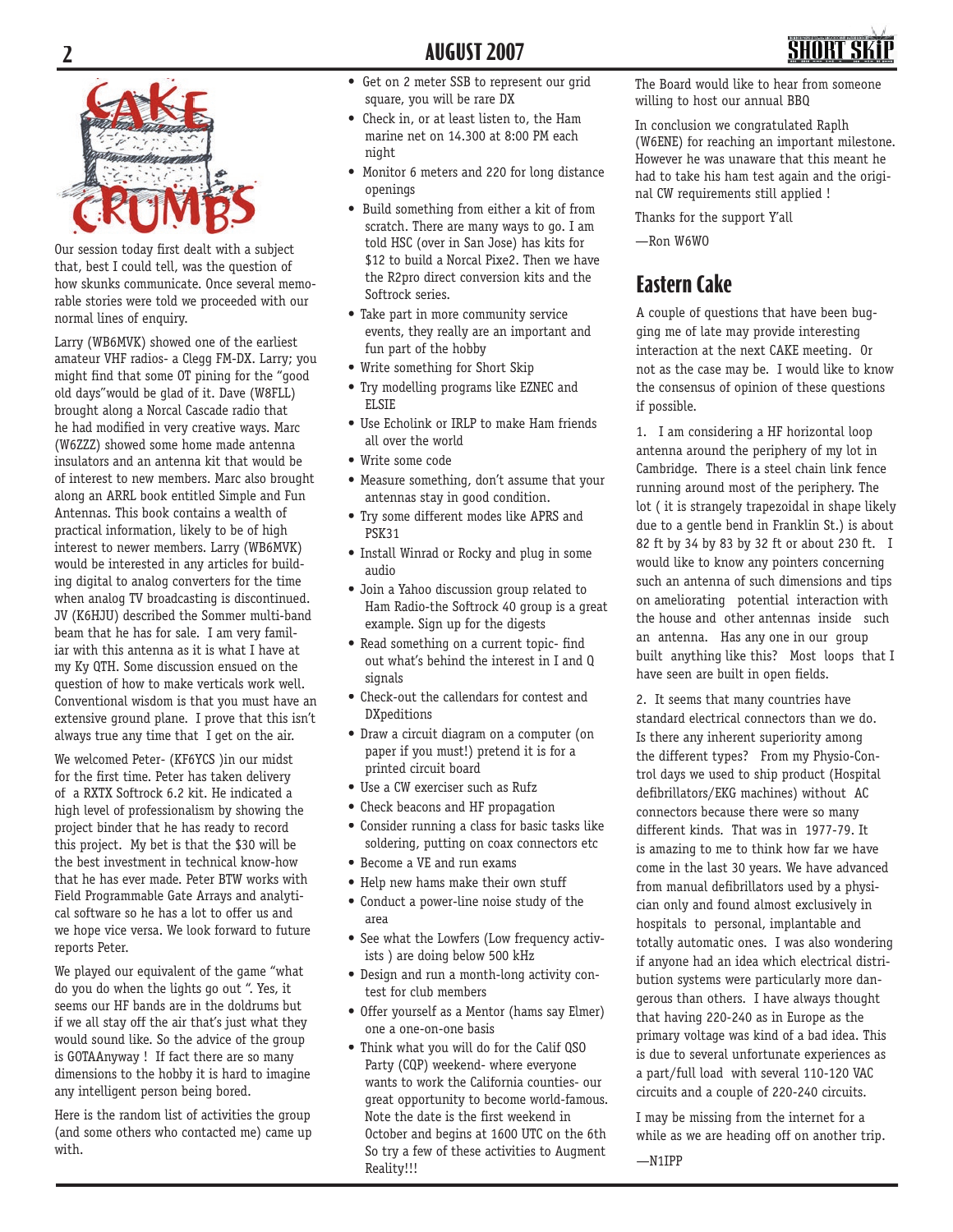



Our session today first dealt with a subject that, best I could tell, was the question of how skunks communicate. Once several memorable stories were told we proceeded with our normal lines of enquiry.

Larry (WB6MVK) showed one of the earliest amateur VHF radios- a Clegg FM-DX. Larry; you might find that some OT pining for the "good old days"would be glad of it. Dave (W8FLL) brought along a Norcal Cascade radio that he had modified in very creative ways. Marc (W6ZZZ) showed some home made antenna insulators and an antenna kit that would be of interest to new members. Marc also brought along an ARRL book entitled Simple and Fun Antennas. This book contains a wealth of practical information, likely to be of high interest to newer members. Larry (WB6MVK) would be interested in any articles for building digital to analog converters for the time when analog TV broadcasting is discontinued. JV (K6HJU) described the Sommer multi-band beam that he has for sale. I am very familiar with this antenna as it is what I have at my Ky QTH. Some discussion ensued on the question of how to make verticals work well. Conventional wisdom is that you must have an extensive ground plane. I prove that this isn't always true any time that I get on the air.

We welcomed Peter- (KF6YCS )in our midst for the first time. Peter has taken delivery of a RXTX Softrock 6.2 kit. He indicated a high level of professionalism by showing the project binder that he has ready to record this project. My bet is that the \$30 will be the best investment in technical know-how that he has ever made. Peter BTW works with Field Programmable Gate Arrays and analytical software so he has a lot to offer us and we hope vice versa. We look forward to future reports Peter.

We played our equivalent of the game "what do you do when the lights go out ". Yes, it seems our HF bands are in the doldrums but if we all stay off the air that's just what they would sound like. So the advice of the group is GOTAAnyway ! If fact there are so many dimensions to the hobby it is hard to imagine any intelligent person being bored.

Here is the random list of activities the group (and some others who contacted me) came up with.

- Get on 2 meter SSB to represent our grid square, you will be rare DX
- Check in, or at least listen to, the Ham marine net on 14.300 at 8:00 PM each night
- Monitor 6 meters and 220 for long distance openings
- Build something from either a kit of from scratch. There are many ways to go. I am told HSC (over in San Jose) has kits for \$12 to build a Norcal Pixe2. Then we have the R2pro direct conversion kits and the Softrock series.
- Take part in more community service events, they really are an important and fun part of the hobby
- Write something for Short Skip
- Try modelling programs like EZNEC and ELSIE
- Use Echolink or IRLP to make Ham friends all over the world
- Write some code
- Measure something, don't assume that your antennas stay in good condition.
- Try some different modes like APRS and PSK31
- Install Winrad or Rocky and plug in some audio
- Join a Yahoo discussion group related to Ham Radio-the Softrock 40 group is a great example. Sign up for the digests
- Read something on a current topic- find out what's behind the interest in I and Q signals
- Check-out the callendars for contest and DXpeditions
- Draw a circuit diagram on a computer (on paper if you must!) pretend it is for a printed circuit board
- Use a CW exerciser such as Rufz
- Check beacons and HF propagation
- Consider running a class for basic tasks like soldering, putting on coax connectors etc
- Become a VE and run exams
- Help new hams make their own stuff
- Conduct a power-line noise study of the area
- See what the Lowfers (Low frequency activists ) are doing below 500 kHz
- Design and run a month-long activity contest for club members
- Offer yourself as a Mentor (hams say Elmer) one a one-on-one basis
- Think what you will do for the Calif QSO Party (CQP) weekend- where everyone wants to work the California counties- our great opportunity to become world-famous. Note the date is the first weekend in October and begins at 1600 UTC on the 6th So try a few of these activities to Augment Reality!!!

The Board would like to hear from someone willing to host our annual BBQ

In conclusion we congratulated Raplh (W6ENE) for reaching an important milestone. However he was unaware that this meant he had to take his ham test again and the original CW requirements still applied !

Thanks for the support Y'all

—Ron W6WO

### **Eastern Cake**

A couple of questions that have been bugging me of late may provide interesting interaction at the next CAKE meeting. Or not as the case may be. I would like to know the consensus of opinion of these questions if possible.

1. I am considering a HF horizontal loop antenna around the periphery of my lot in Cambridge. There is a steel chain link fence running around most of the periphery. The lot ( it is strangely trapezoidal in shape likely due to a gentle bend in Franklin St.) is about 82 ft by 34 by 83 by 32 ft or about 230 ft. I would like to know any pointers concerning such an antenna of such dimensions and tips on ameliorating potential interaction with the house and other antennas inside such an antenna. Has any one in our group built anything like this? Most loops that I have seen are built in open fields.

2. It seems that many countries have standard electrical connectors than we do. Is there any inherent superiority among the different types? From my Physio-Control days we used to ship product (Hospital defibrillators/EKG machines) without AC connectors because there were so many different kinds. That was in 1977-79. It is amazing to me to think how far we have come in the last 30 years. We have advanced from manual defibrillators used by a physician only and found almost exclusively in hospitals to personal, implantable and totally automatic ones. I was also wondering if anyone had an idea which electrical distribution systems were particularly more dangerous than others. I have always thought that having 220-240 as in Europe as the primary voltage was kind of a bad idea. This is due to several unfortunate experiences as a part/full load with several 110-120 VAC circuits and a couple of 220-240 circuits.

I may be missing from the internet for a while as we are heading off on another trip. —N1IPP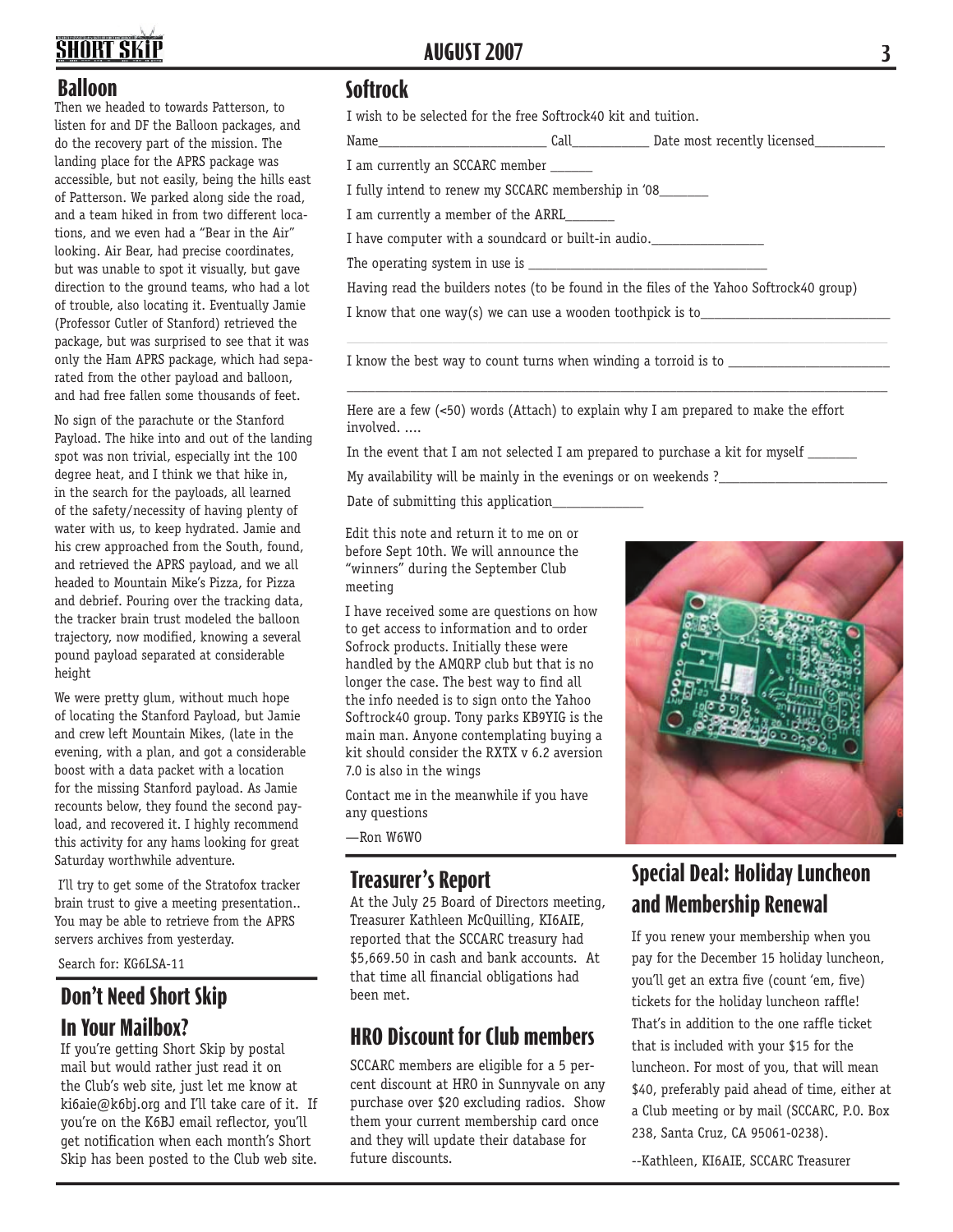# **SHORT SKIT**

#### **Balloon**

Then we headed to towards Patterson, to listen for and DF the Balloon packages, and do the recovery part of the mission. The landing place for the APRS package was accessible, but not easily, being the hills east of Patterson. We parked along side the road, and a team hiked in from two different locations, and we even had a "Bear in the Air" looking. Air Bear, had precise coordinates, but was unable to spot it visually, but gave direction to the ground teams, who had a lot of trouble, also locating it. Eventually Jamie (Professor Cutler of Stanford) retrieved the package, but was surprised to see that it was only the Ham APRS package, which had separated from the other payload and balloon, and had free fallen some thousands of feet.

No sign of the parachute or the Stanford Payload. The hike into and out of the landing spot was non trivial, especially int the 100 degree heat, and I think we that hike in, in the search for the payloads, all learned of the safety/necessity of having plenty of water with us, to keep hydrated. Jamie and his crew approached from the South, found, and retrieved the APRS payload, and we all headed to Mountain Mike's Pizza, for Pizza and debrief. Pouring over the tracking data, the tracker brain trust modeled the balloon trajectory, now modified, knowing a several pound payload separated at considerable height

We were pretty glum, without much hope of locating the Stanford Payload, but Jamie and crew left Mountain Mikes, (late in the evening, with a plan, and got a considerable boost with a data packet with a location for the missing Stanford payload. As Jamie recounts below, they found the second payload, and recovered it. I highly recommend this activity for any hams looking for great Saturday worthwhile adventure.

 I'll try to get some of the Stratofox tracker brain trust to give a meeting presentation.. You may be able to retrieve from the APRS servers archives from yesterday.

Search for: KG6LSA-11

#### **Don't Need Short Skip In Your Mailbox?**

If you're getting Short Skip by postal mail but would rather just read it on the Club's web site, just let me know at ki6aie@k6bj.org and I'll take care of it. If you're on the K6BJ email reflector, you'll get notification when each month's Short Skip has been posted to the Club web site.

#### **AUGUST 2007 3**

#### **Softrock**

I wish to be selected for the free Softrock40 kit and tuition.

Name\_\_\_\_\_\_\_\_\_\_\_\_\_\_\_\_\_\_\_\_\_\_\_\_ Call\_\_\_\_\_\_\_\_\_\_\_ Date most recently licensed\_\_\_\_\_\_\_\_\_\_

I am currently an SCCARC member \_\_\_\_\_\_

I fully intend to renew my SCCARC membership in '08\_\_\_\_\_\_\_

I am currently a member of the ARRL

I have computer with a soundcard or built-in audio.\_\_\_\_\_\_\_\_\_\_\_\_\_\_\_\_\_\_\_\_\_\_\_\_\_\_\_\_\_

The operating system in use is

Having read the builders notes (to be found in the files of the Yahoo Softrock40 group) I know that one way(s) we can use a wooden toothpick is to

\_\_\_\_\_\_\_\_\_\_\_\_\_\_\_\_\_\_\_\_\_\_\_\_\_\_\_\_\_\_\_\_\_\_\_\_\_\_\_\_\_\_\_\_\_\_\_\_\_\_\_\_\_\_\_\_\_\_\_\_\_\_\_\_\_\_\_\_\_\_\_\_\_\_\_\_\_

\_\_\_\_\_\_\_\_\_\_\_\_\_\_\_\_\_\_\_\_\_\_\_\_\_\_\_\_\_\_\_\_\_\_\_\_\_\_\_\_\_\_\_\_\_\_\_\_\_\_\_\_\_\_\_\_\_\_\_\_\_\_\_\_\_\_\_\_\_\_\_\_\_\_\_\_\_

I know the best way to count turns when winding a torroid is to \_\_\_\_\_\_\_\_\_\_\_\_\_\_\_\_

Here are a few (<50) words (Attach) to explain why I am prepared to make the effort involved. ....

In the event that I am not selected I am prepared to purchase a kit for myself \_\_\_\_\_\_\_

My availability will be mainly in the evenings or on weekends ?\_\_\_\_\_\_\_\_\_\_\_\_\_\_\_\_\_

Date of submitting this application

Edit this note and return it to me on or before Sept 10th. We will announce the "winners" during the September Club meeting

I have received some are questions on how to get access to information and to order Sofrock products. Initially these were handled by the AMQRP club but that is no longer the case. The best way to find all the info needed is to sign onto the Yahoo Softrock40 group. Tony parks KB9YIG is the main man. Anyone contemplating buying a kit should consider the RXTX v 6.2 aversion 7.0 is also in the wings

Contact me in the meanwhile if you have any questions

—Ron W6WO

#### **Treasurer's Report**

At the July 25 Board of Directors meeting, Treasurer Kathleen McQuilling, KI6AIE, reported that the SCCARC treasury had \$5,669.50 in cash and bank accounts. At that time all financial obligations had been met.

#### **HRO Discount for Club members**

SCCARC members are eligible for a 5 percent discount at HRO in Sunnyvale on any purchase over \$20 excluding radios. Show them your current membership card once and they will update their database for future discounts.



## **Special Deal: Holiday Luncheon and Membership Renewal**

If you renew your membership when you pay for the December 15 holiday luncheon, you'll get an extra five (count 'em, five) tickets for the holiday luncheon raffle! That's in addition to the one raffle ticket that is included with your \$15 for the luncheon. For most of you, that will mean \$40, preferably paid ahead of time, either at a Club meeting or by mail (SCCARC, P.O. Box 238, Santa Cruz, CA 95061-0238).

--Kathleen, KI6AIE, SCCARC Treasurer